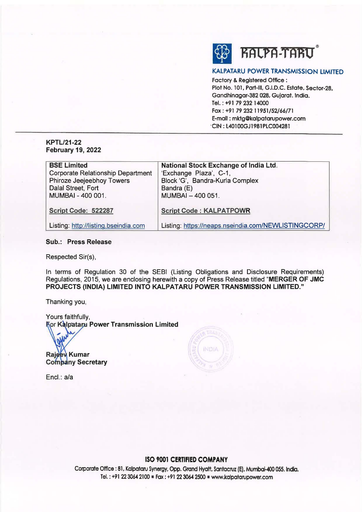

# **KALPATARU POWER TRANSMISSION** LIMITED

Factory & **Registered** Office : **Plot No.** 101, **Part-Ill, G.I.D.C. Estate, Sector-28,**  Gandhinagar-382 **028,** Gujarat. India. Tel.: **+9179232·14000 Fax:** +91 **79 232 11951/52/66/71**  E-mail : **mktg@kalpatarupower.com ·CIN: L40100GJ1981PLC004281** 

# **KPTL/21-22 February 19, 2022**

| <b>BSE Limited</b>                       | <b>National Stock Exchange of India Ltd.</b>        |
|------------------------------------------|-----------------------------------------------------|
| <b>Corporate Relationship Department</b> | 'Exchange Plaza', C-1,                              |
| Phiroze Jeejeebhoy Towers                | Block 'G', Bandra-Kurla Complex                     |
| Dalal Street, Fort                       | Bandra (E)                                          |
| MUMBAI - 400 001.                        | MUMBAI - 400 051.                                   |
|                                          |                                                     |
| Script Code: 522287                      | <b>Script Code: KALPATPOWR</b>                      |
|                                          |                                                     |
| Listing: http://listing.bseindia.com     | Listing: https://neaps.nseindia.com/NEWLISTINGCORP/ |

# **Sub.: Press Release**

Respected Sir(s),

In terms of Regulation 30 of the SEBI (Listing Obligations and Disclosure Requirements) Regulations, 2015, we are enclosing herewith a copy of Press Release titled **"MERGER OF JMC PROJECTS (INDIA) LIMITED INTO KALPATARU POWER TRANSMISSION LIMITED."** 

Thanking you,

Yours faithfully, **Ror Kalpataru Power Transmission Limited** 

Rajeew Kumar **Company Secretary** 

Encl.: a/a



# **ISO 9001 CERTIFIED COMPANY**

Corporate Office : 81, Kalpataru Synergy, Opp. Grand Hyatt. Santacruz IE). Mumbai-400 055. India. Tel.: +91 22 3064 2100 • Fax: +91 22 3064 2500 • www.kalpatarupower.com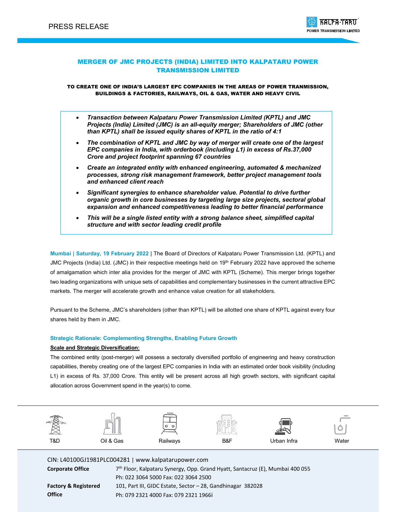

# MERGER OF JMC PROJECTS (INDIA) LIMITED INTO KALPATARU POWER TRANSMISSION LIMITED

TO CREATE ONE OF INDIA'S LARGEST EPC COMPANIES IN THE AREAS OF POWER TRANMISSION, BUILDINGS & FACTORIES, RAILWAYS, OIL & GAS, WATER AND HEAVY CIVIL

- *Transaction between Kalpataru Power Transmission Limited (KPTL) and JMC Projects (India) Limited (JMC) is an all-equity merger; Shareholders of JMC (other than KPTL) shall be issued equity shares of KPTL in the ratio of 4:1*
- *The combination of KPTL and JMC by way of merger will create one of the largest EPC companies in India, with orderbook (including L1) in excess of Rs.37,000 Crore and project footprint spanning 67 countries*
- *Create an integrated entity with enhanced engineering, automated & mechanized processes, strong risk management framework, better project management tools and enhanced client reach*
- *Significant synergies to enhance shareholder value. Potential to drive further organic growth in core businesses by targeting large size projects, sectoral global expansion and enhanced competitiveness leading to better financial performance*
- *This will be a single listed entity with a strong balance sheet, simplified capital structure and with sector leading credit profile*

**Mumbai | Saturday, 19 February 2022** | The Board of Directors of Kalpataru Power Transmission Ltd. (KPTL) and JMC Projects (India) Ltd. (JMC) in their respective meetings held on 19<sup>th</sup> February 2022 have approved the scheme of amalgamation which inter alia provides for the merger of JMC with KPTL (Scheme). This merger brings together two leading organizations with unique sets of capabilities and complementary businesses in the current attractive EPC markets. The merger will accelerate growth and enhance value creation for all stakeholders.

Pursuant to the Scheme, JMC's shareholders (other than KPTL) will be allotted one share of KPTL against every four shares held by them in JMC.

## **Strategic Rationale: Complementing Strengths, Enabling Future Growth**

### **Scale and Strategic Diversification:**

The combined entity (post-merger) will possess a sectorally diversified portfolio of engineering and heavy construction capabilities, thereby creating one of the largest EPC companies in India with an estimated order book visibility (including L1) in excess of Rs. 37,000 Crore. This entity will be present across all high growth sectors, with significant capital allocation across Government spend in the year(s) to come.



CIN: L40100GJ1981PLC004281 | www.kalpatarupower.com

**Corporate Office** 7th Floor, Kalpataru Synergy, Opp. Grand Hyatt, Santacruz (E), Mumbai 400 055 Ph: 022 3064 5000 Fax: 022 3064 2500 **Factory & Registered Office** 101, Part III, GIDC Estate, Sector – 28, Gandhinagar 382028 Ph: 079 2321 4000 Fax: 079 2321 1966i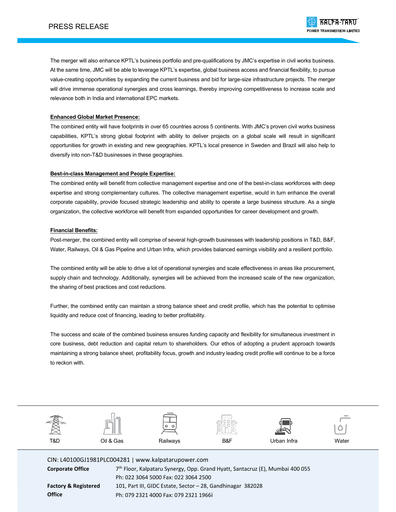The merger will also enhance KPTL's business portfolio and pre-qualifications by JMC's expertise in civil works business. At the same time, JMC will be able to leverage KPTL's expertise, global business access and financial flexibility, to pursue value-creating opportunities by expanding the current business and bid for large-size infrastructure projects. The merger will drive immense operational synergies and cross learnings, thereby improving competitiveness to increase scale and relevance both in India and international EPC markets.

## **Enhanced Global Market Presence:**

The combined entity will have footprints in over 65 countries across 5 continents. With JMC's proven civil works business capabilities, KPTL's strong global footprint with ability to deliver projects on a global scale will result in significant opportunities for growth in existing and new geographies. KPTL's local presence in Sweden and Brazil will also help to diversify into non-T&D businesses in these geographies.

## **Best-in-class Management and People Expertise:**

The combined entity will benefit from collective management expertise and one of the best-in-class workforces with deep expertise and strong complementary cultures. The collective management expertise, would in turn enhance the overall corporate capability, provide focused strategic leadership and ability to operate a large business structure. As a single organization, the collective workforce will benefit from expanded opportunities for career development and growth.

## **Financial Benefits:**

Post-merger, the combined entity will comprise of several high-growth businesses with leadership positions in T&D, B&F, Water, Railways, Oil & Gas Pipeline and Urban Infra, which provides balanced earnings visibility and a resilient portfolio.

The combined entity will be able to drive a lot of operational synergies and scale effectiveness in areas like procurement, supply chain and technology. Additionally, synergies will be achieved from the increased scale of the new organization, the sharing of best practices and cost reductions.

Further, the combined entity can maintain a strong balance sheet and credit profile, which has the potential to optimise liquidity and reduce cost of financing, leading to better profitability.

The success and scale of the combined business ensures funding capacity and flexibility for simultaneous investment in core business, debt reduction and capital return to shareholders. Our ethos of adopting a prudent approach towards maintaining a strong balance sheet, profitability focus, growth and industry leading credit profile will continue to be a force to reckon with.



CIN: L40100GJ1981PLC004281 | www.kalpatarupower.com **Corporate Office** 7th Floor, Kalpataru Synergy, Opp. Grand Hyatt, Santacruz (E), Mumbai 400 055 Ph: 022 3064 5000 Fax: 022 3064 2500 **Factory & Registered Office** 101, Part III, GIDC Estate, Sector – 28, Gandhinagar 382028 Ph: 079 2321 4000 Fax: 079 2321 1966i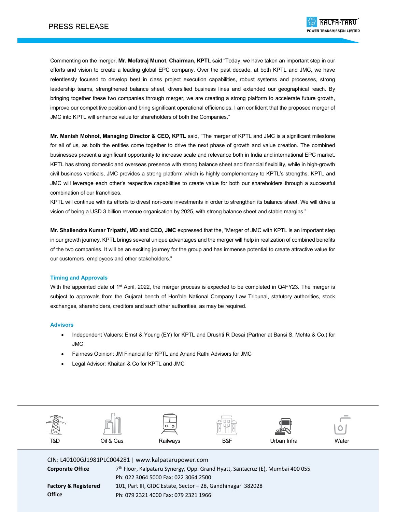Commenting on the merger, **Mr. Mofatraj Munot, Chairman, KPTL** said "Today, we have taken an important step in our efforts and vision to create a leading global EPC company. Over the past decade, at both KPTL and JMC, we have relentlessly focused to develop best in class project execution capabilities, robust systems and processes, strong leadership teams, strengthened balance sheet, diversified business lines and extended our geographical reach. By bringing together these two companies through merger, we are creating a strong platform to accelerate future growth, improve our competitive position and bring significant operational efficiencies. I am confident that the proposed merger of JMC into KPTL will enhance value for shareholders of both the Companies."

**Mr. Manish Mohnot, Managing Director & CEO, KPTL** said, "The merger of KPTL and JMC is a significant milestone for all of us, as both the entities come together to drive the next phase of growth and value creation. The combined businesses present a significant opportunity to increase scale and relevance both in India and international EPC market. KPTL has strong domestic and overseas presence with strong balance sheet and financial flexibility, while in high-growth civil business verticals, JMC provides a strong platform which is highly complementary to KPTL's strengths. KPTL and JMC will leverage each other's respective capabilities to create value for both our shareholders through a successful combination of our franchises.

KPTL will continue with its efforts to divest non-core investments in order to strengthen its balance sheet. We will drive a vision of being a USD 3 billion revenue organisation by 2025, with strong balance sheet and stable margins."

**Mr. Shailendra Kumar Tripathi, MD and CEO, JMC** expressed that the, "Merger of JMC with KPTL is an important step in our growth journey. KPTL brings several unique advantages and the merger will help in realization of combined benefits of the two companies. It will be an exciting journey for the group and has immense potential to create attractive value for our customers, employees and other stakeholders."

### **Timing and Approvals**

With the appointed date of 1<sup>st</sup> April, 2022, the merger process is expected to be completed in Q4FY23. The merger is subject to approvals from the Gujarat bench of Hon'ble National Company Law Tribunal, statutory authorities, stock exchanges, shareholders, creditors and such other authorities, as may be required.

### **Advisors**

- Independent Valuers: Ernst & Young (EY) for KPTL and Drushti R Desai (Partner at Bansi S. Mehta & Co.) for JMC
- Fairness Opinion: JM Financial for KPTL and Anand Rathi Advisors for JMC
- Legal Advisor: Khaitan & Co for KPTL and JMC



CIN: L40100GJ1981PLC004281 | www.kalpatarupower.com

| <b>Corporate Office</b>         | 7 <sup>th</sup> Floor, Kalpataru Synergy, Opp. Grand Hyatt, Santacruz (E), Mumbai 400 055 |  |  |  |
|---------------------------------|-------------------------------------------------------------------------------------------|--|--|--|
|                                 | Ph: 022 3064 5000 Fax: 022 3064 2500                                                      |  |  |  |
| <b>Factory &amp; Registered</b> | 101, Part III, GIDC Estate, Sector - 28, Gandhinagar 382028                               |  |  |  |
| Office                          | Ph: 079 2321 4000 Fax: 079 2321 1966i                                                     |  |  |  |
|                                 |                                                                                           |  |  |  |